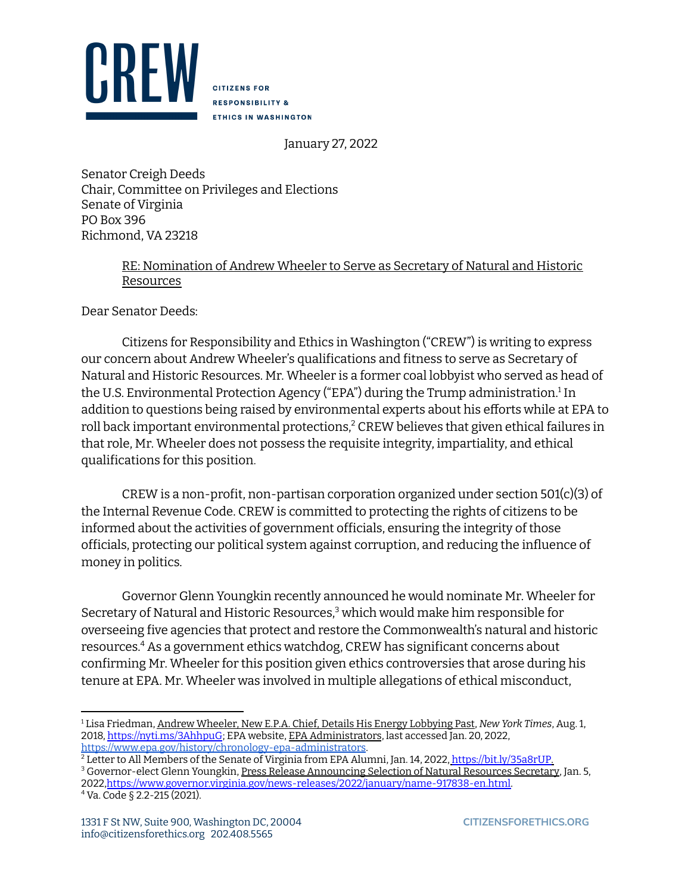

**CITIZENS FOR RESPONSIBILITY & ETHICS IN WASHINGTON** 

January 27, 2022

Senator Creigh Deeds Chair, Committee on Privileges and Elections Senate of Virginia PO Box 396 Richmond, VA 23218

## RE: Nomination of Andrew Wheeler to Serve as Secretary of Natural and Historic Resources

Dear Senator Deeds:

Citizens for Responsibility and Ethics in Washington ("CREW") is writing to express our concern about Andrew Wheeler's qualifications and fitness to serve as Secretary of Natural and Historic Resources. Mr. Wheeler is a former coal lobbyist who served as head of the U.S. Environmental Protection Agency ("EPA") during the Trump administration.<sup>1</sup> In addition to questions being raised by environmental experts about his efforts while at EPA to roll back important environmental protections, $2$  CREW believes that given ethical failures in that role, Mr. Wheeler does not possess the requisite integrity, impartiality, and ethical qualifications for this position.

CREW is a non-profit, non-partisan corporation organized under section 501(c)(3) of the Internal Revenue Code. CREW is committed to protecting the rights of citizens to be informed about the activities of government officials, ensuring the integrity of those officials, protecting our political system against corruption, and reducing the influence of money in politics.

Governor Glenn Youngkin recently announced he would nominate Mr. Wheeler for Secretary of Natural and Historic Resources,<sup>3</sup> which would make him responsible for overseeing five agencies that protect and restore the Commonwealth's natural and historic resources.<sup>4</sup> As a government ethics watchdog, CREW has significant concerns about confirming Mr. Wheeler for this position given ethics controversies that arose during his tenure at EPA. Mr. Wheeler was involved in multiple allegations of ethical misconduct,

<sup>4</sup> Va. Code § 2.2-215 (2021).

<sup>1</sup> Lisa Friedman, Andrew Wheeler, New E.P.A. Chief, Details His Energy Lobbying Past, *New York Times*, Aug. 1, 2018, https://nyti.ms/3AhhpuG; EPA website, EPA Administrators, last accessed Jan. 20, 2022, https://www.epa.gov/history/chronology-epa-administrators.

<sup>&</sup>lt;sup>2</sup> Letter to All Members of the Senate of Virginia from EPA Alumni, Jan. 14, 2022, https://bit.ly/35a8rUP.

<sup>&</sup>lt;sup>3</sup> Governor-elect Glenn Youngkin, Press Release Announcing Selection of Natural Resources Secretary, Jan. 5, 2022,https://www.governor.virginia.gov/news-releases/2022/january/name-917838-en.html.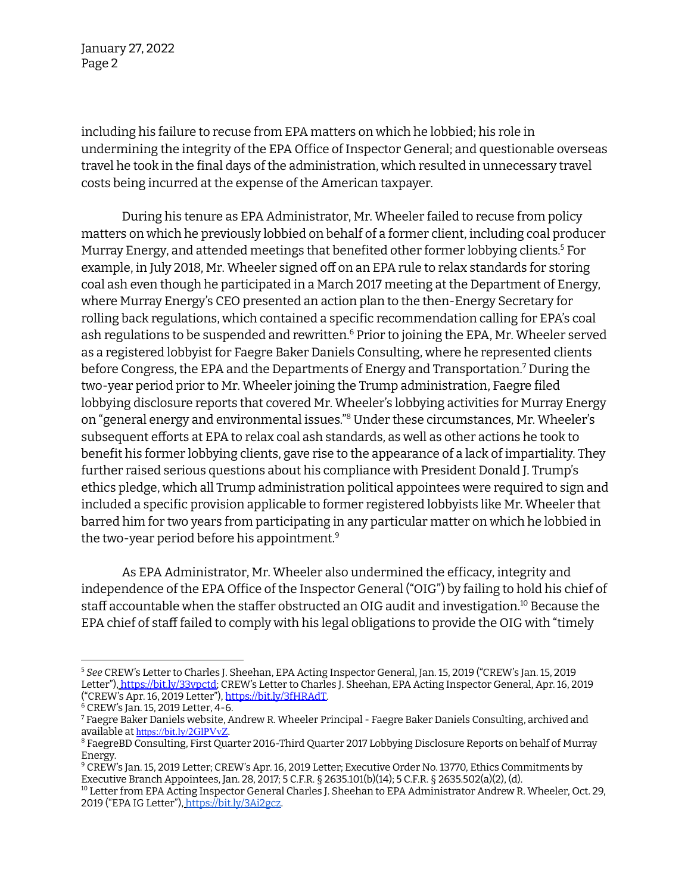January 27, 2022 Page 2

including his failure to recuse from EPA matters on which he lobbied; his role in undermining the integrity of the EPA Office of Inspector General; and questionable overseas travel he took in the final days of the administration, which resulted in unnecessary travel costs being incurred at the expense of the American taxpayer.

During his tenure as EPA Administrator, Mr. Wheeler failed to recuse from policy matters on which he previously lobbied on behalf of a former client, including coal producer Murray Energy, and attended meetings that benefited other former lobbying clients.<sup>5</sup> For example, in July 2018, Mr. Wheeler signed off on an EPA rule to relax standards for storing coal ash even though he participated in a March 2017 meeting at the Department of Energy, where Murray Energy's CEO presented an action plan to the then-Energy Secretary for rolling back regulations, which contained a specific recommendation calling for EPA's coal ash regulations to be suspended and rewritten.<sup>6</sup> Prior to joining the EPA, Mr. Wheeler served as a registered lobbyist for Faegre Baker Daniels Consulting, where he represented clients before Congress, the EPA and the Departments of Energy and Transportation.<sup>7</sup> During the two-year period prior to Mr. Wheeler joining the Trump administration, Faegre filed lobbying disclosure reports that covered Mr. Wheeler's lobbying activities for Murray Energy on "general energy and environmental issues."<sup>8</sup> Under these circumstances, Mr. Wheeler's subsequent efforts at EPA to relax coal ash standards, as well as other actions he took to benefit his former lobbying clients, gave rise to the appearance of a lack of impartiality. They further raised serious questions about his compliance with President Donald J. Trump's ethics pledge, which all Trump administration political appointees were required to sign and included a specific provision applicable to former registered lobbyists like Mr. Wheeler that barred him for two years from participating in any particular matter on which he lobbied in the two-year period before his appointment. 9

As EPA Administrator, Mr. Wheeler also undermined the efficacy, integrity and independence of the EPA Office of the Inspector General ("OIG") by failing to hold his chief of staff accountable when the staffer obstructed an OIG audit and investigation. $^{\scriptsize 10}$  Because the EPA chief of staff failed to comply with his legal obligations to provide the OIG with "timely

<sup>5</sup> *See* CREW's Letter to Charles J. Sheehan, EPA Acting Inspector General, Jan. 15, 2019 ("CREW's Jan. 15, 2019 Letter"), https://bit.ly/33vpctd; CREW's Letter to Charles J. Sheehan, EPA Acting Inspector General, Apr. 16, 2019 ("CREW's Apr. 16, 2019 Letter"), https://bit.ly/3fHRAdT.

 $6$  CREW's Jan. 15, 2019 Letter, 4-6.

<sup>7</sup> Faegre Baker Daniels website, Andrew R. Wheeler Principal - Faegre Baker Daniels Consulting, archived and available at https://bit.ly/2GlPVvZ.

<sup>8</sup> FaegreBD Consulting, First Quarter 2016-Third Quarter 2017 Lobbying Disclosure Reports on behalf of Murray Energy.

<sup>9</sup> CREW's Jan. 15, 2019 Letter; CREW's Apr. 16, 2019 Letter; Executive Order No. 13770, Ethics Commitments by Executive Branch Appointees, Jan. 28, 2017; 5 C.F.R. § 2635.101(b)(14); 5 C.F.R. § 2635.502(a)(2), (d).

<sup>10</sup> Letter from EPA Acting Inspector General Charles J. Sheehan to EPA Administrator Andrew R. Wheeler, Oct. 29, 2019 ("EPA IG Letter"), https://bit.ly/3Ai2gcz.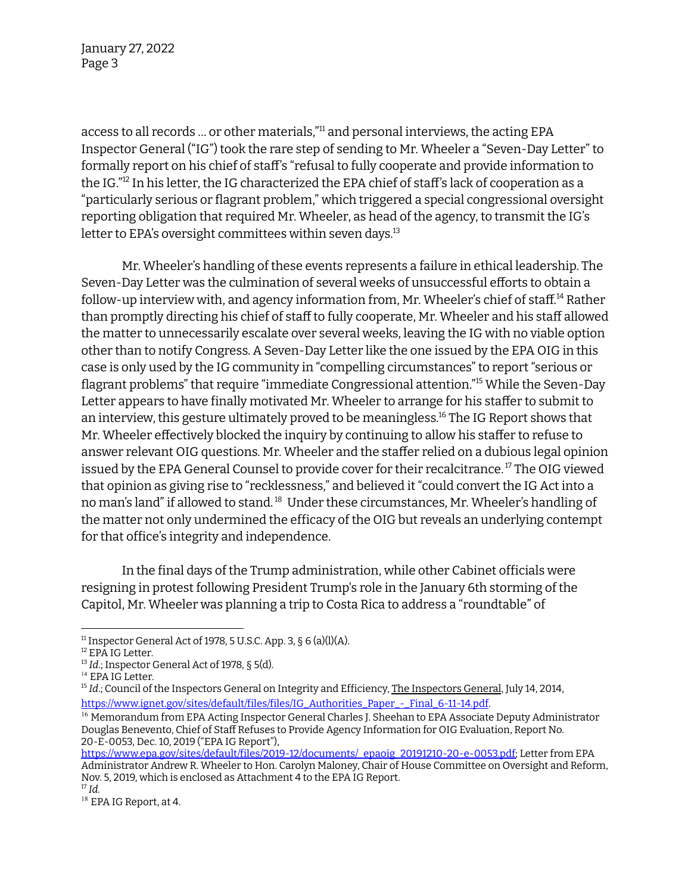January 27, 2022 Page 3

access to all records ... or other materials,"<sup>11</sup> and personal interviews, the acting EPA Inspector General ("IG") took the rare step of sending to Mr. Wheeler a "Seven-Day Letter" to formally report on his chief of staff's "refusal to fully cooperate and provide information to the IG." $^{12}$  In his letter, the IG characterized the EPA chief of staff's lack of cooperation as a "particularly serious or flagrant problem," which triggered a special congressional oversight reporting obligation that required Mr. Wheeler, as head of the agency, to transmit the IG's letter to EPA's oversight committees within seven days. 13

Mr. Wheeler's handling of these events represents a failure in ethical leadership. The Seven-Day Letter was the culmination of several weeks of unsuccessful efforts to obtain a follow-up interview with, and agency information from, Mr. Wheeler's chief of staff.<sup>14</sup> Rather than promptly directing his chief of staff to fully cooperate, Mr. Wheeler and his staff allowed the matter to unnecessarily escalate over several weeks, leaving the IG with no viable option other than to notify Congress. A Seven-Day Letter like the one issued by the EPA OIG in this case is only used by the IG community in "compelling circumstances" to report "serious or flagrant problems" that require "immediate Congressional attention."<sup>15</sup> While the Seven-Day Letter appears to have finally motivated Mr. Wheeler to arrange for his staffer to submit to an interview, this gesture ultimately proved to be meaningless.<sup>16</sup> The IG Report shows that Mr. Wheeler effectively blocked the inquiry by continuing to allow his staffer to refuse to answer relevant OIG questions. Mr. Wheeler and the staffer relied on a dubious legal opinion issued by the EPA General Counsel to provide cover for their recalcitrance.  $^{\textrm{\tiny{17}}}$  The OIG viewed that opinion as giving rise to "recklessness," and believed it "could convert the IG Act into a no man's land" if allowed to stand.<sup>18</sup> Under these circumstances, Mr. Wheeler's handling of the matter not only undermined the efficacy of the OIG but reveals an underlying contempt for that office's integrity and independence.

In the final days of the Trump administration, while other Cabinet officials were resigning in protest following President Trump's role in the January 6th storming of the Capitol, Mr. Wheeler was planning a trip to Costa Rica to address a "roundtable" of

<sup>11</sup> Inspector General Act of 1978, 5 U.S.C. App. 3, § 6 (a)(l)(A).

<sup>&</sup>lt;sup>12</sup> EPA IG Letter.

<sup>13</sup> *Id*.; Inspector General Act of 1978, § 5(d).

<sup>&</sup>lt;sup>14</sup> EPA IG Letter.

 $^{\rm 15}$  *Id.*; Council of the Inspectors General on Integrity and Efficiency, <u>The Inspectors General,</u> July 14, 2014, https://www.ignet.gov/sites/default/files/files/IG\_Authorities\_Paper\_-\_Final\_6-11-14.pdf.

<sup>&</sup>lt;sup>16</sup> Memorandum from EPA Acting Inspector General Charles J. Sheehan to EPA Associate Deputy Administrator Douglas Benevento, Chief of Staff Refuses to Provide Agency Information for OIG Evaluation, Report No. 20-E-0053, Dec. 10, 2019 ("EPA IG Report"),

<sup>17</sup> *Id.* https://www.epa.gov/sites/default/files/2019-12/documents/\_epaoig\_20191210-20-e-0053.pdf; Letter from EPA Administrator Andrew R. Wheeler to Hon. Carolyn Maloney, Chair of House Committee on Oversight and Reform, Nov. 5, 2019, which is enclosed as Attachment 4 to the EPA IG Report.

<sup>&</sup>lt;sup>18</sup> EPA IG Report, at 4.